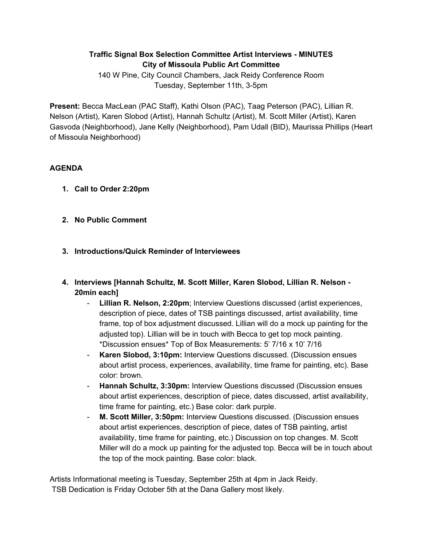## **Traffic Signal Box Selection Committee Artist Interviews - MINUTES City of Missoula Public Art Committee**

140 W Pine, City Council Chambers, Jack Reidy Conference Room Tuesday, September 11th, 3-5pm

**Present:** Becca MacLean (PAC Staff), Kathi Olson (PAC), Taag Peterson (PAC), Lillian R. Nelson (Artist), Karen Slobod (Artist), Hannah Schultz (Artist), M. Scott Miller (Artist), Karen Gasvoda (Neighborhood), Jane Kelly (Neighborhood), Pam Udall (BID), Maurissa Phillips (Heart of Missoula Neighborhood)

## **AGENDA**

- **1. Call to Order 2:20pm**
- **2. No Public Comment**
- **3. Introductions/Quick Reminder of Interviewees**
- **4. Interviews [Hannah Schultz, M. Scott Miller, Karen Slobod, Lillian R. Nelson - 20min each]**
	- **Lillian R. Nelson, 2:20pm**; Interview Questions discussed (artist experiences, description of piece, dates of TSB paintings discussed, artist availability, time frame, top of box adjustment discussed. Lillian will do a mock up painting for the adjusted top). Lillian will be in touch with Becca to get top mock painting. \*Discussion ensues\* Top of Box Measurements: 5' 7/16 x 10' 7/16
	- **Karen Slobod, 3:10pm:** Interview Questions discussed. (Discussion ensues about artist process, experiences, availability, time frame for painting, etc). Base color: brown.
	- **Hannah Schultz, 3:30pm:** Interview Questions discussed (Discussion ensues about artist experiences, description of piece, dates discussed, artist availability, time frame for painting, etc.) Base color: dark purple.
	- **M. Scott Miller, 3:50pm:** Interview Questions discussed. (Discussion ensues about artist experiences, description of piece, dates of TSB painting, artist availability, time frame for painting, etc.) Discussion on top changes. M. Scott Miller will do a mock up painting for the adjusted top. Becca will be in touch about the top of the mock painting. Base color: black.

Artists Informational meeting is Tuesday, September 25th at 4pm in Jack Reidy. TSB Dedication is Friday October 5th at the Dana Gallery most likely.